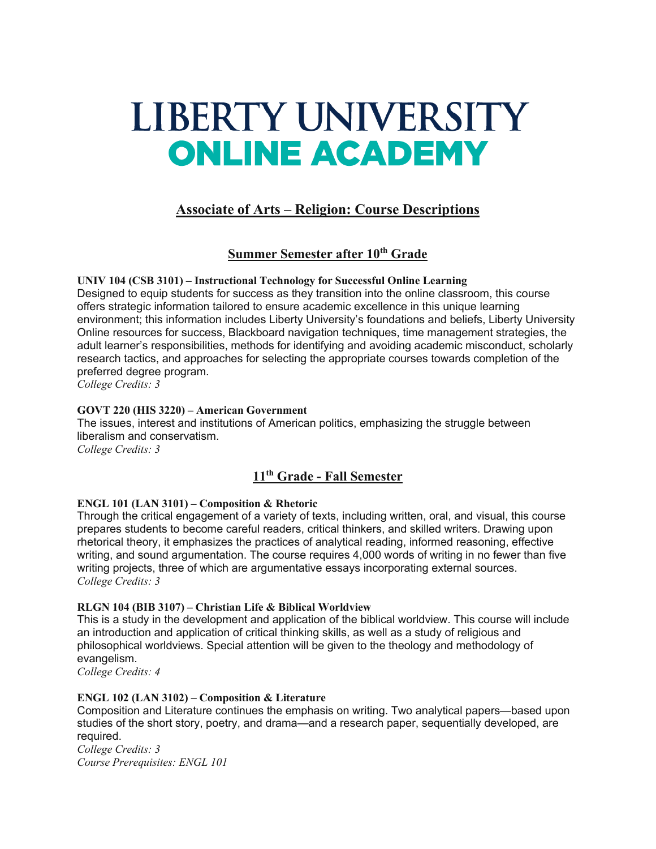# LIBERTY UNIVERSITY **ONLINE ACADEMY**

# **Associate of Arts – Religion: Course Descriptions**

# **Summer Semester after 10th Grade**

**UNIV 104 (CSB 3101) – Instructional Technology for Successful Online Learning** Designed to equip students for success as they transition into the online classroom, this course offers strategic information tailored to ensure academic excellence in this unique learning environment; this information includes Liberty University's foundations and beliefs, Liberty University Online resources for success, Blackboard navigation techniques, time management strategies, the adult learner's responsibilities, methods for identifying and avoiding academic misconduct, scholarly research tactics, and approaches for selecting the appropriate courses towards completion of the preferred degree program.

*College Credits: 3*

# **GOVT 220 (HIS 3220) – American Government**

The issues, interest and institutions of American politics, emphasizing the struggle between liberalism and conservatism. *College Credits: 3*

# **11th Grade - Fall Semester**

# **ENGL 101 (LAN 3101) – Composition & Rhetoric**

Through the critical engagement of a variety of texts, including written, oral, and visual, this course prepares students to become careful readers, critical thinkers, and skilled writers. Drawing upon rhetorical theory, it emphasizes the practices of analytical reading, informed reasoning, effective writing, and sound argumentation. The course requires 4,000 words of writing in no fewer than five writing projects, three of which are argumentative essays incorporating external sources. *College Credits: 3*

## **RLGN 104 (BIB 3107) – Christian Life & Biblical Worldview**

This is a study in the development and application of the biblical worldview. This course will include an introduction and application of critical thinking skills, as well as a study of religious and philosophical worldviews. Special attention will be given to the theology and methodology of evangelism.

*College Credits: 4*

## **ENGL 102 (LAN 3102) – Composition & Literature**

Composition and Literature continues the emphasis on writing. Two analytical papers—based upon studies of the short story, poetry, and drama—and a research paper, sequentially developed, are required.

*College Credits: 3 Course Prerequisites: ENGL 101*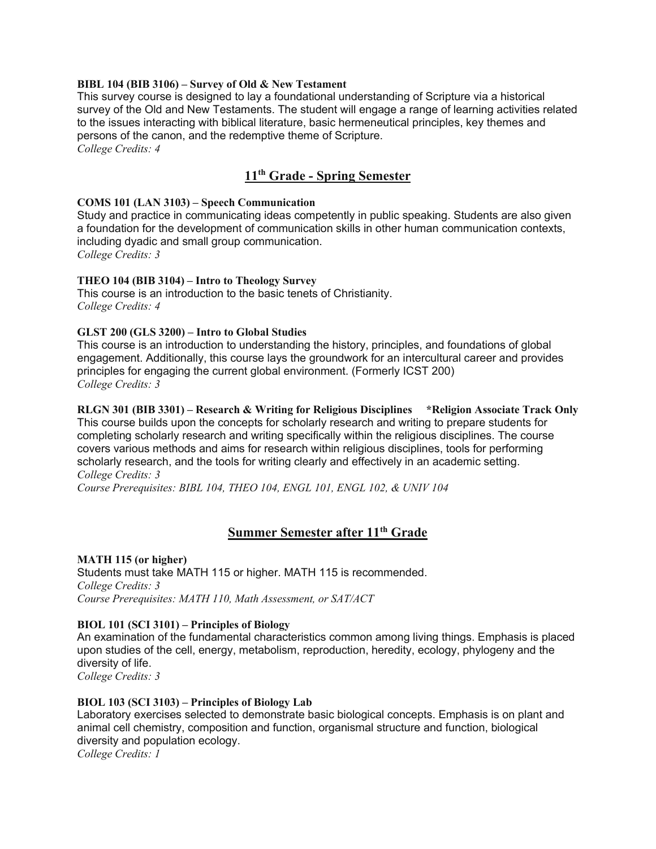#### **BIBL 104 (BIB 3106) – Survey of Old & New Testament**

This survey course is designed to lay a foundational understanding of Scripture via a historical survey of the Old and New Testaments. The student will engage a range of learning activities related to the issues interacting with biblical literature, basic hermeneutical principles, key themes and persons of the canon, and the redemptive theme of Scripture.

*College Credits: 4*

# **11th Grade - Spring Semester**

#### **COMS 101 (LAN 3103) – Speech Communication**

Study and practice in communicating ideas competently in public speaking. Students are also given a foundation for the development of communication skills in other human communication contexts, including dyadic and small group communication. *College Credits: 3*

#### **THEO 104 (BIB 3104) – Intro to Theology Survey**

This course is an introduction to the basic tenets of Christianity. *College Credits: 4*

#### **GLST 200 (GLS 3200) – Intro to Global Studies**

This course is an introduction to understanding the history, principles, and foundations of global engagement. Additionally, this course lays the groundwork for an intercultural career and provides principles for engaging the current global environment. (Formerly ICST 200) *College Credits: 3*

**RLGN 301 (BIB 3301) – Research & Writing for Religious Disciplines \*Religion Associate Track Only** This course builds upon the concepts for scholarly research and writing to prepare students for completing scholarly research and writing specifically within the religious disciplines. The course covers various methods and aims for research within religious disciplines, tools for performing scholarly research, and the tools for writing clearly and effectively in an academic setting. *College Credits: 3*

*Course Prerequisites: BIBL 104, THEO 104, ENGL 101, ENGL 102, & UNIV 104*

# **Summer Semester after 11th Grade**

#### **MATH 115 (or higher)**

Students must take MATH 115 or higher. MATH 115 is recommended. *College Credits: 3 Course Prerequisites: MATH 110, Math Assessment, or SAT/ACT*

## **BIOL 101 (SCI 3101) – Principles of Biology**

An examination of the fundamental characteristics common among living things. Emphasis is placed upon studies of the cell, energy, metabolism, reproduction, heredity, ecology, phylogeny and the diversity of life.

*College Credits: 3*

#### **BIOL 103 (SCI 3103) – Principles of Biology Lab**

Laboratory exercises selected to demonstrate basic biological concepts. Emphasis is on plant and animal cell chemistry, composition and function, organismal structure and function, biological diversity and population ecology. *College Credits: 1*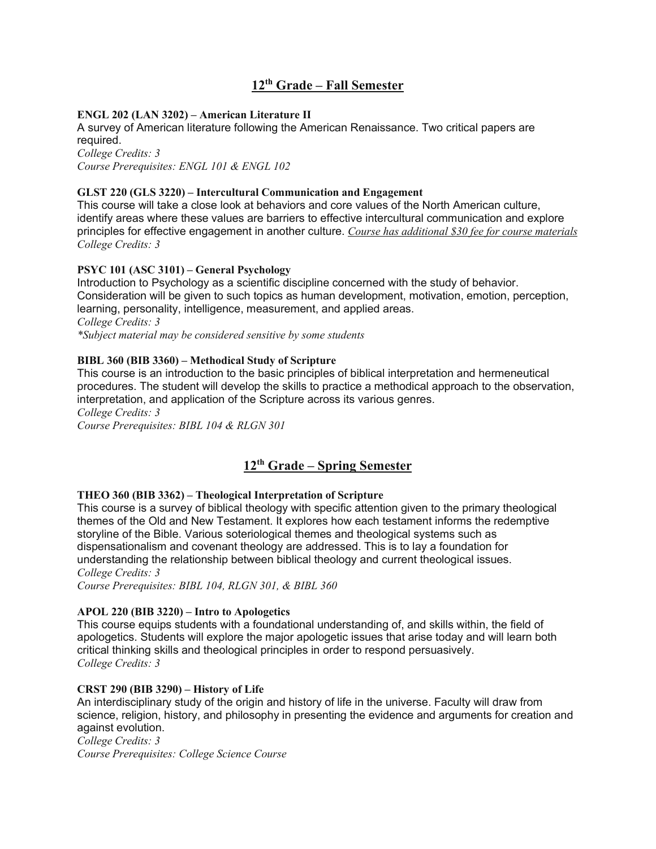# **12th Grade – Fall Semester**

# **ENGL 202 (LAN 3202) – American Literature II**

A survey of American literature following the American Renaissance. Two critical papers are required. *College Credits: 3*

*Course Prerequisites: ENGL 101 & ENGL 102*

#### **GLST 220 (GLS 3220) – Intercultural Communication and Engagement**

This course will take a close look at behaviors and core values of the North American culture, identify areas where these values are barriers to effective intercultural communication and explore principles for effective engagement in another culture. *Course has additional \$30 fee for course materials College Credits: 3*

## **PSYC 101 (ASC 3101) – General Psychology**

Introduction to Psychology as a scientific discipline concerned with the study of behavior. Consideration will be given to such topics as human development, motivation, emotion, perception, learning, personality, intelligence, measurement, and applied areas. *College Credits: 3 \*Subject material may be considered sensitive by some students*

#### **BIBL 360 (BIB 3360) – Methodical Study of Scripture**

This course is an introduction to the basic principles of biblical interpretation and hermeneutical procedures. The student will develop the skills to practice a methodical approach to the observation, interpretation, and application of the Scripture across its various genres.

*College Credits: 3 Course Prerequisites: BIBL 104 & RLGN 301*

# **12th Grade – Spring Semester**

## **THEO 360 (BIB 3362) – Theological Interpretation of Scripture**

This course is a survey of biblical theology with specific attention given to the primary theological themes of the Old and New Testament. It explores how each testament informs the redemptive storyline of the Bible. Various soteriological themes and theological systems such as dispensationalism and covenant theology are addressed. This is to lay a foundation for understanding the relationship between biblical theology and current theological issues. *College Credits: 3*

*Course Prerequisites: BIBL 104, RLGN 301, & BIBL 360*

## **APOL 220 (BIB 3220) – Intro to Apologetics**

This course equips students with a foundational understanding of, and skills within, the field of apologetics. Students will explore the major apologetic issues that arise today and will learn both critical thinking skills and theological principles in order to respond persuasively. *College Credits: 3*

# **CRST 290 (BIB 3290) – History of Life**

An interdisciplinary study of the origin and history of life in the universe. Faculty will draw from science, religion, history, and philosophy in presenting the evidence and arguments for creation and against evolution.

*College Credits: 3*

*Course Prerequisites: College Science Course*